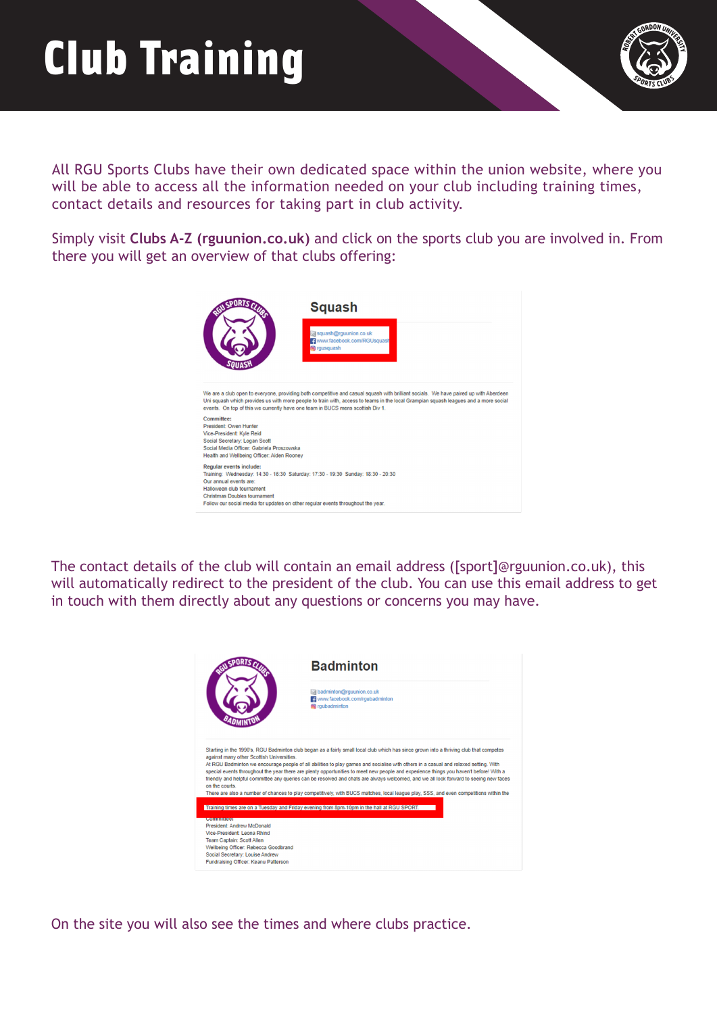## Club Training



All RGU Sports Clubs have their own dedicated space within the union website, where you will be able to access all the information needed on your club including training times, contact details and resources for taking part in club activity.

Simply visit **[Clubs A-Z \(rguunion.co.uk\)](https://www.rguunion.co.uk/getinvolved/sport/a-z/)** and click on the sports club you are involved in. From there you will get an overview of that clubs offering:



The contact details of the club will contain an email address ([sport]@rguunion.co.uk), this will automatically redirect to the president of the club. You can use this email address to get in touch with them directly about any questions or concerns you may have.



On the site you will also see the times and where clubs practice.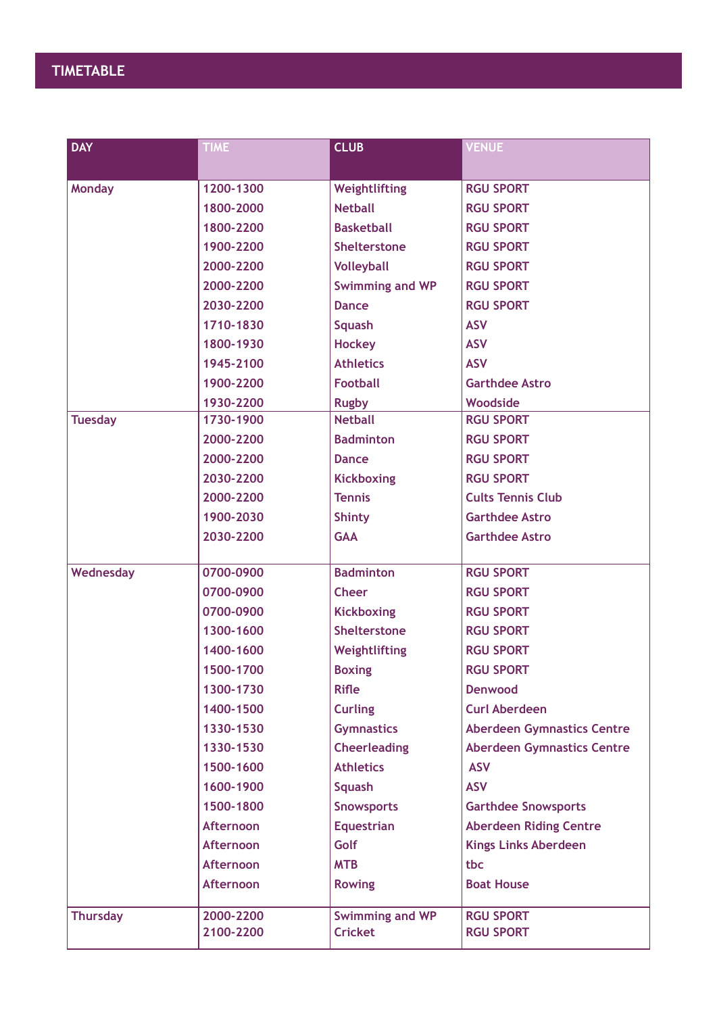| <b>DAY</b>      | <b>TIME</b>      | <b>CLUB</b>            | <b>VENUE</b>                      |
|-----------------|------------------|------------------------|-----------------------------------|
|                 |                  |                        |                                   |
| <b>Monday</b>   | 1200-1300        | Weightlifting          | <b>RGU SPORT</b>                  |
|                 | 1800-2000        | <b>Netball</b>         | <b>RGU SPORT</b>                  |
|                 | 1800-2200        | <b>Basketball</b>      | <b>RGU SPORT</b>                  |
|                 | 1900-2200        | <b>Shelterstone</b>    | <b>RGU SPORT</b>                  |
|                 | 2000-2200        | <b>Volleyball</b>      | <b>RGU SPORT</b>                  |
|                 | 2000-2200        | <b>Swimming and WP</b> | <b>RGU SPORT</b>                  |
|                 | 2030-2200        | <b>Dance</b>           | <b>RGU SPORT</b>                  |
|                 | 1710-1830        | <b>Squash</b>          | <b>ASV</b>                        |
|                 | 1800-1930        | <b>Hockey</b>          | <b>ASV</b>                        |
|                 | 1945-2100        | <b>Athletics</b>       | <b>ASV</b>                        |
|                 | 1900-2200        | <b>Football</b>        | <b>Garthdee Astro</b>             |
|                 | 1930-2200        | <b>Rugby</b>           | Woodside                          |
| <b>Tuesday</b>  | 1730-1900        | <b>Netball</b>         | <b>RGU SPORT</b>                  |
|                 | 2000-2200        | <b>Badminton</b>       | <b>RGU SPORT</b>                  |
|                 | 2000-2200        | <b>Dance</b>           | <b>RGU SPORT</b>                  |
|                 | 2030-2200        | <b>Kickboxing</b>      | <b>RGU SPORT</b>                  |
|                 | 2000-2200        | <b>Tennis</b>          | <b>Cults Tennis Club</b>          |
|                 | 1900-2030        | <b>Shinty</b>          | <b>Garthdee Astro</b>             |
|                 | 2030-2200        | <b>GAA</b>             | <b>Garthdee Astro</b>             |
|                 |                  |                        |                                   |
| Wednesday       | 0700-0900        | <b>Badminton</b>       | <b>RGU SPORT</b>                  |
|                 | 0700-0900        | <b>Cheer</b>           | <b>RGU SPORT</b>                  |
|                 | 0700-0900        | <b>Kickboxing</b>      | <b>RGU SPORT</b>                  |
|                 | 1300-1600        | <b>Shelterstone</b>    | <b>RGU SPORT</b>                  |
|                 | 1400-1600        | Weightlifting          | <b>RGU SPORT</b>                  |
|                 | 1500-1700        | <b>Boxing</b>          | <b>RGU SPORT</b>                  |
|                 | 1300-1730        | <b>Rifle</b>           | <b>Denwood</b>                    |
|                 | 1400-1500        | <b>Curling</b>         | <b>Curl Aberdeen</b>              |
|                 | 1330-1530        | <b>Gymnastics</b>      | <b>Aberdeen Gymnastics Centre</b> |
|                 | 1330-1530        | <b>Cheerleading</b>    | <b>Aberdeen Gymnastics Centre</b> |
|                 | 1500-1600        | <b>Athletics</b>       | <b>ASV</b>                        |
|                 | 1600-1900        | <b>Squash</b>          | <b>ASV</b>                        |
|                 | 1500-1800        | <b>Snowsports</b>      | <b>Garthdee Snowsports</b>        |
|                 | <b>Afternoon</b> | <b>Equestrian</b>      | <b>Aberdeen Riding Centre</b>     |
|                 | <b>Afternoon</b> | Golf                   | <b>Kings Links Aberdeen</b>       |
|                 | <b>Afternoon</b> | <b>MTB</b>             | tbc                               |
|                 | <b>Afternoon</b> | <b>Rowing</b>          | <b>Boat House</b>                 |
| <b>Thursday</b> | 2000-2200        | Swimming and WP        | <b>RGU SPORT</b>                  |
|                 | 2100-2200        | <b>Cricket</b>         | <b>RGU SPORT</b>                  |